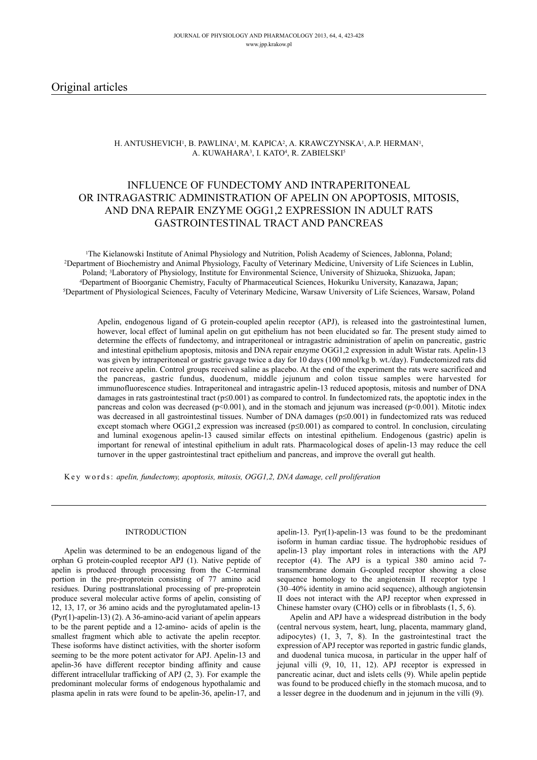# H. ANTUSHEVICH1, B. PAWLINA1, M. KAPICA2, A. KRAWCZYNSKA1, A.P. HERMAN1, A. KUWAHARA<sup>3</sup>, I. KATO<sup>4</sup>, R. ZABIELSKI<sup>5</sup>

# INFLUENCE OF FUNDECTOMY AND INTRAPERITONEAL OR INTRAGASTRIC ADMINISTRATION OF APELIN ON APOPTOSIS, MITOSIS, AND DNA REPAIR ENZYME OGG1,2 EXPRESSION IN ADULT RATS GASTROINTESTINAL TRACT AND PANCREAS

<sup>1</sup>The Kielanowski Institute of Animal Physiology and Nutrition, Polish Academy of Sciences, Jablonna, Poland;<br><sup>2</sup>Department of Biochemistry and Animal Physiology, Faculty of Veterinary Medicine, University of Life Science Poland; <sup>3</sup>Laboratory of Physiology, Institute for Environmental Science, University of Shizuoka, Shizuoka, Japan;<br><sup>4</sup>Department of Bioorganic Chemistry, Faculty of Pharmaceutical Sciences, Hokuriku University, Kanazawa, J

Apelin, endogenous ligand of G protein-coupled apelin receptor (APJ), is released into the gastrointestinal lumen, however, local effect of luminal apelin on gut epithelium has not been elucidated so far. The present study aimed to determine the effects of fundectomy, and intraperitoneal or intragastric administration of apelin on pancreatic, gastric and intestinal epithelium apoptosis, mitosis and DNA repair enzyme OGG1,2 expression in adult Wistar rats. Apelin-13 was given by intraperitoneal or gastric gavage twice a day for 10 days (100 nmol/kg b. wt./day). Fundectomized rats did not receive apelin. Control groups received saline as placebo. At the end of the experiment the rats were sacrificed and the pancreas, gastric fundus, duodenum, middle jejunum and colon tissue samples were harvested for immunofluorescence studies. Intraperitoneal and intragastric apelin-13 reduced apoptosis, mitosis and number of DNA damages in rats gastrointestinal tract ( $p \le 0.001$ ) as compared to control. In fundectomized rats, the apoptotic index in the pancreas and colon was decreased (p<0.001), and in the stomach and jejunum was increased (p<0.001). Mitotic index was decreased in all gastrointestinal tissues. Number of DNA damages ( $p \le 0.001$ ) in fundectomized rats was reduced except stomach where OGG1,2 expression was increased  $(p \le 0.001)$  as compared to control. In conclusion, circulating and luminal exogenous apelin-13 caused similar effects on intestinal epithelium. Endogenous (gastric) apelin is important for renewal of intestinal epithelium in adult rats. Pharmacological doses of apelin-13 may reduce the cell turnover in the upper gastrointestinal tract epithelium and pancreas, and improve the overall gut health.

Key words: *apelin, fundectomy, apoptosis, mitosis, OGG1,2, DNA damage, cell proliferation*

### INTRODUCTION

Apelin was determined to be an endogenous ligand of the orphan G protein-coupled receptor APJ (1). Native peptide of apelin is produced through processing from the C-terminal portion in the pre-proprotein consisting of 77 amino acid residues. During posttranslational processing of pre-proprotein produce several molecular active forms of apelin, consisting of 12, 13, 17, or 36 amino acids and the pyroglutamated apelin-13 (Pyr(1)-apelin-13) (2). A 36-amino-acid variant of apelin appears to be the parent peptide and a 12-amino- acids of apelin is the smallest fragment which able to activate the apelin receptor. These isoforms have distinct activities, with the shorter isoform seeming to be the more potent activator for APJ. Apelin-13 and apelin-36 have different receptor binding affinity and cause different intracellular trafficking of APJ (2, 3). For example the predominant molecular forms of endogenous hypothalamic and plasma apelin in rats were found to be apelin-36, apelin-17, and

apelin-13. Pyr(1)-apelin-13 was found to be the predominant isoform in human cardiac tissue. The hydrophobic residues of apelin-13 play important roles in interactions with the APJ receptor (4). The APJ is a typical 380 amino acid 7 transmembrane domain G-coupled receptor showing a close sequence homology to the angiotensin II receptor type 1 (30–40% identity in amino acid sequence), although angiotensin II does not interact with the APJ receptor when expressed in Chinese hamster ovary (CHO) cells or in fibroblasts (1, 5, 6).

Apelin and APJ have a widespread distribution in the body (central nervous system, heart, lung, placenta, mammary gland, adipocytes) (1, 3, 7, 8). In the gastrointestinal tract the expression of APJ receptor was reported in gastric fundic glands, and duodenal tunica mucosa, in particular in the upper half of jejunal villi (9, 10, 11, 12). APJ receptor is expressed in pancreatic acinar, duct and islets cells (9). While apelin peptide was found to be produced chiefly in the stomach mucosa, and to a lesser degree in the duodenum and in jejunum in the villi (9).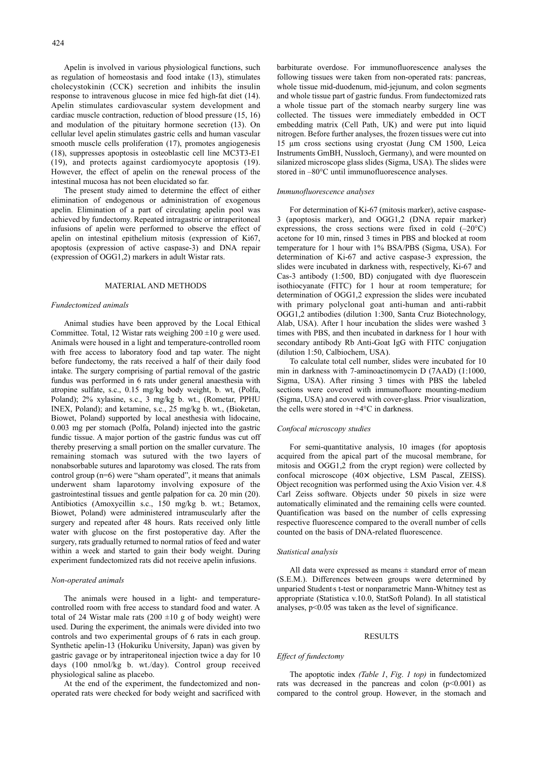Apelin is involved in various physiological functions, such as regulation of homeostasis and food intake (13), stimulates cholecystokinin (CCK) secretion and inhibits the insulin response to intravenous glucose in mice fed high-fat diet (14). Apelin stimulates cardiovascular system development and cardiac muscle contraction, reduction of blood pressure (15, 16) and modulation of the pituitary hormone secretion (13). On cellular level apelin stimulates gastric cells and human vascular smooth muscle cells proliferation (17), promotes angiogenesis (18), suppresses apoptosis in osteoblastic cell line MC3T3-E1 (19), and protects against cardiomyocyte apoptosis (19). However, the effect of apelin on the renewal process of the intestinal mucosa has not been elucidated so far.

The present study aimed to determine the effect of either elimination of endogenous or administration of exogenous apelin. Elimination of a part of circulating apelin pool was achieved by fundectomy. Repeated intragastric or intraperitoneal infusions of apelin were performed to observe the effect of apelin on intestinal epithelium mitosis (expression of Ki67, apoptosis (expression of active caspase-3) and DNA repair (expression of OGG1,2) markers in adult Wistar rats.

#### MATERIAL AND METHODS

#### *Fundectomized animals*

Animal studies have been approved by the Local Ethical Committee. Total, 12 Wistar rats weighing  $200 \pm 10$  g were used. Animals were housed in a light and temperature-controlled room with free access to laboratory food and tap water. The night before fundectomy, the rats received a half of their daily food intake. The surgery comprising of partial removal of the gastric fundus was performed in 6 rats under general anaesthesia with atropine sulfate, s.c., 0.15 mg/kg body weight, b. wt, (Polfa, Poland); 2% xylasine, s.c., 3 mg/kg b. wt., (Rometar, PPHU INEX, Poland); and ketamine, s.c., 25 mg/kg b. wt., (Bioketan, Biowet, Poland) supported by local anesthesia with lidocaine, 0.003 mg per stomach (Polfa, Poland) injected into the gastric fundic tissue. A major portion of the gastric fundus was cut off thereby preserving a small portion on the smaller curvature. The remaining stomach was sutured with the two layers of nonabsorbable sutures and laparotomy was closed. The rats from control group (n=6) were "sham operated", it means that animals underwent sham laparotomy involving exposure of the gastrointestinal tissues and gentle palpation for ca. 20 min (20). Antibiotics (Amoxycillin s.c., 150 mg/kg b. wt.; Betamox, Biowet, Poland) were administered intramuscularly after the surgery and repeated after 48 hours. Rats received only little water with glucose on the first postoperative day. After the surgery, rats gradually returned to normal ratios of feed and water within a week and started to gain their body weight. During experiment fundectomized rats did not receive apelin infusions.

### *Non-operated animals*

The animals were housed in a light- and temperaturecontrolled room with free access to standard food and water. A total of 24 Wistar male rats  $(200 \pm 10$  g of body weight) were used. During the experiment, the animals were divided into two controls and two experimental groups of 6 rats in each group. Synthetic apelin-13 (Hokuriku University, Japan) was given by gastric gavage or by intraperitoneal injection twice a day for 10 days (100 nmol/kg b. wt./day). Control group received physiological saline as placebo.

At the end of the experiment, the fundectomized and nonoperated rats were checked for body weight and sacrificed with

barbiturate overdose. For immunofluorescence analyses the following tissues were taken from non-operated rats: pancreas, whole tissue mid-duodenum, mid-jejunum, and colon segments and whole tissue part of gastric fundus. From fundectomized rats a whole tissue part of the stomach nearby surgery line was collected. The tissues were immediately embedded in OCT embedding matrix (Cell Path, UK) and were put into liquid nitrogen. Before further analyses, the frozen tissues were cut into 15 µm cross sections using cryostat (Jung CM 1500, Leica Instruments GmBH, Nussloch, Germany), and were mounted on silanized microscope glass slides (Sigma, USA). The slides were stored in –80°C until immunofluorescence analyses.

### *Immunofluorescence analyses*

For determination of Ki-67 (mitosis marker), active caspase-3 (apoptosis marker), and OGG1,2 (DNA repair marker) expressions, the cross sections were fixed in cold  $(-20^{\circ}C)$ acetone for 10 min, rinsed 3 times in PBS and blocked at room temperature for 1 hour with 1% BSA/PBS (Sigma, USA). For determination of Ki-67 and active caspase-3 expression, the slides were incubated in darkness with, respectively, Ki-67 and Cas-3 antibody (1:500, BD) conjugated with dye fluorescein isothiocyanate (FITC) for 1 hour at room temperature; for determination of OGG1,2 expression the slides were incubated with primary polyclonal goat anti-human and anti-rabbit OGG1,2 antibodies (dilution 1:300, Santa Cruz Biotechnology, Alab, USA). After 1 hour incubation the slides were washed 3 times with PBS, and then incubated in darkness for 1 hour with secondary antibody Rb Anti-Goat IgG with FITC conjugation (dilution 1:50, Calbiochem, USA).

To calculate total cell number, slides were incubated for 10 min in darkness with 7-aminoactinomycin D (7AAD) (1:1000, Sigma, USA). After rinsing 3 times with PBS the labeled sections were covered with immunofluore mounting-medium (Sigma, USA) and covered with cover-glass. Prior visualization, the cells were stored in +4°C in darkness.

# *Confocal microscopy studies*

For semi-quantitative analysis, 10 images (for apoptosis acquired from the apical part of the mucosal membrane, for mitosis and OGG1,2 from the crypt region) were collected by confocal microscope (40× objective, LSM Pascal, ZEISS). Object recognition was performed using the Axio Vision ver. 4.8 Carl Zeiss software. Objects under 50 pixels in size were automatically eliminated and the remaining cells were counted. Quantification was based on the number of cells expressing respective fluorescence compared to the overall number of cells counted on the basis of DNA-related fluorescence.

### *Statistical analysis*

All data were expressed as means  $\pm$  standard error of mean (S.E.M.). Differences between groups were determined by unparied Students t-test or nonparametric Mann-Whitney test as appropriate (Statistica v.10.0, StatSoft Poland). In all statistical analyses, p<0.05 was taken as the level of significance.

### **RESULTS**

## *Effect of fundectomy*

The apoptotic index *(Table 1*, *Fig*. *1 top)* in fundectomized rats was decreased in the pancreas and colon  $(p<0.001)$  as compared to the control group. However, in the stomach and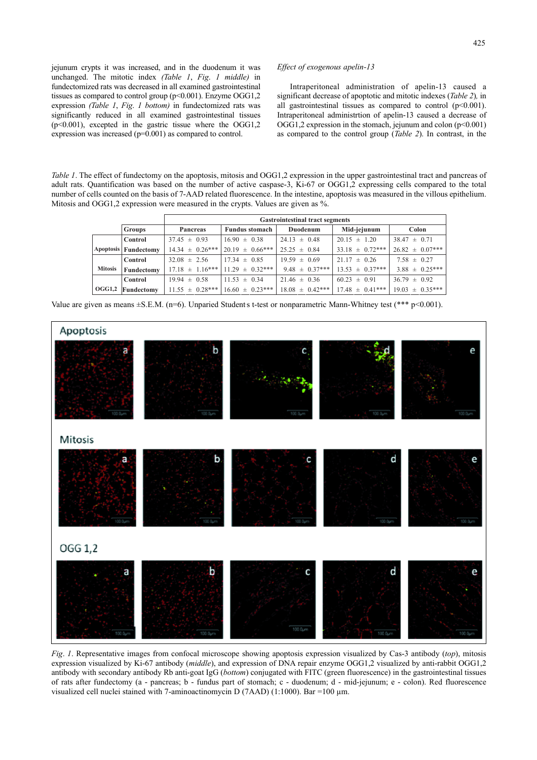jejunum crypts it was increased, and in the duodenum it was unchanged. The mitotic index *(Table 1*, *Fig*. *1 middle)* in fundectomized rats was decreased in all examined gastrointestinal tissues as compared to control group ( $p<0.001$ ). Enzyme OGG1,2 expression *(Table 1*, *Fig*. *1 bottom)* in fundectomized rats was significantly reduced in all examined gastrointestinal tissues  $(p<0.001)$ , excepted in the gastric tissue where the OGG1,2 expression was increased (p=0.001) as compared to control.

### *Effect of exogenous apelin-13*

Intraperitoneal administration of apelin-13 caused a significant decrease of apoptotic and mitotic indexes (*Table 2*)*,* in all gastrointestinal tissues as compared to control  $(p<0.001)$ . Intraperitoneal administrtion of apelin-13 caused a decrease of OGG1,2 expression in the stomach, jejunum and colon  $(p<0.001)$ as compared to the control group (*Table 2*). In contrast, in the

*Table 1*. The effect of fundectomy on the apoptosis, mitosis and OGG1,2 expression in the upper gastrointestinal tract and pancreas of adult rats. Quantification was based on the number of active caspase-3, Ki-67 or OGG1,2 expressing cells compared to the total number of cells counted on the basis of 7-AAD related fluorescence. In the intestine, apoptosis was measured in the villous epithelium. Mitosis and OGG1,2 expression were measured in the crypts. Values are given as %.

|                |                      | <b>Gastrointestinal tract segments</b> |                       |                     |                     |                     |
|----------------|----------------------|----------------------------------------|-----------------------|---------------------|---------------------|---------------------|
|                | <b>Groups</b>        | Pancreas                               | <b>Fundus stomach</b> | Duodenum            | Mid-jejunum         | Colon               |
|                | Control              | $37.45 \pm 0.93$                       | $16.90 \pm 0.38$      | $24.13 \pm 0.48$    | $20.15 \pm 1.20$    | $38.47 \pm 0.71$    |
|                | Apoptosis Fundectomy | $14.34 \pm 0.26***$                    | $20.19 \pm 0.66***$   | $25.25 \pm 0.84$    | $33.18 \pm 0.72***$ | $26.82 \pm 0.07***$ |
|                | Control              | $32.08 \pm 2.56$                       | $17.34 \pm 0.85$      | $19.59 \pm 0.69$    | $21.17 \pm 0.26$    | $7.58 \pm 0.27$     |
| <b>Mitosis</b> | Fundectomy           | $17.18 \pm 1.16***$                    | $11.29 \pm 0.32***$   | $9.48 \pm 0.37***$  | $13.53 \pm 0.37***$ | $3.88 \pm 0.25***$  |
|                | Control              | $19.94 \pm 0.58$                       | $11.53 \pm 0.34$      | $21.46 \pm 0.36$    | $60.23 \pm 0.91$    | $36.79 \pm 0.92$    |
| OGG1,2         | Fundectomy           | $11.55 \pm 0.28***$                    | $16.60 \pm 0.23***$   | $18.08 \pm 0.42***$ | $17.48 \pm 0.41***$ | $19.03 \pm 0.35***$ |

Value are given as means ± S.E.M. (n=6). Unparied Students t-test or nonparametric Mann-Whitney test (\*\*\* p<0.001).



*Fig*. *1*. Representative images from confocal microscope showing apoptosis expression visualized by Cas-3 antibody (*top*), mitosis expression visualized by Ki-67 antibody (*middle*), and expression of DNA repair enzyme OGG1,2 visualized by anti-rabbit OGG1,2 antibody with secondary antibody Rb anti-goat IgG (*bottom*) conjugated with FITC (green fluorescence) in the gastrointestinal tissues of rats after fundectomy (a - pancreas; b - fundus part of stomach; c - duodenum; d - mid-jejunum; e - colon). Red fluorescence visualized cell nuclei stained with 7-aminoactinomycin D (7AAD) (1:1000). Bar =100 µm.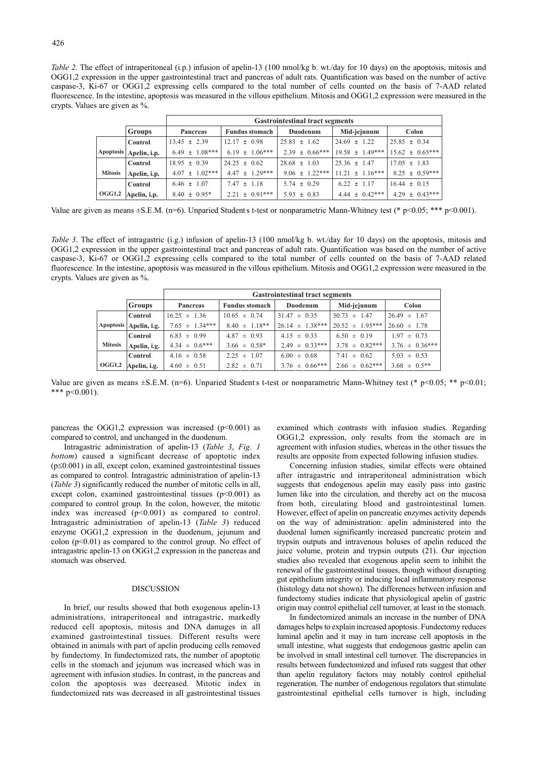*Table 2*. The effect of intraperitoneal (i.p.) infusion of apelin-13 (100 nmol/kg b. wt./day for 10 days) on the apoptosis, mitosis and OGG1,2 expression in the upper gastrointestinal tract and pancreas of adult rats. Quantification was based on the number of active caspase-3, Ki-67 or OGG1,2 expressing cells compared to the total number of cells counted on the basis of 7-AAD related fluorescence. In the intestine, apoptosis was measured in the villous epithelium. Mitosis and OGG1,2 expression were measured in the crypts. Values are given as %.

|                  |               | <b>Gastrointestinal tract segments</b> |                       |                    |                     |                     |
|------------------|---------------|----------------------------------------|-----------------------|--------------------|---------------------|---------------------|
|                  | <b>Groups</b> | <b>Pancreas</b>                        | <b>Fundus stomach</b> | Duodenum           | Mid-jejunum         | Colon               |
|                  | Control       | $13.45 \pm 2.39$                       | $12.17 \pm 0.98$      | $25.83 \pm 1.62$   | $24.69 \pm 1.22$    | $25.85 \pm 0.34$    |
| <b>Apoptosis</b> | Apelin, i.p.  | $6.49 \pm 1.08***$                     | $6.19 \pm 1.06***$    | $2.39 \pm 0.66***$ | $19.58 \pm 1.49***$ | $15.62 \pm 0.65***$ |
|                  | Control       | $18.95 \pm 0.39$                       | $24.25 \pm 0.62$      | $28.68 \pm 1.03$   | $25.36 \pm 1.47$    | $17.05 \pm 1.83$    |
| <b>Mitosis</b>   | Apelin, i.p.  | $4.07 \pm 1.02***$                     | $4.47 \pm 1.29***$    | $9.06 \pm 1.22***$ | $11.21 \pm 1.16***$ | $8.25 \pm 0.59***$  |
|                  | Control       | $6.46 \pm 1.07$                        | $7.47 \pm 1.18$       | $5.74 \pm 0.29$    | $6.22 \pm 1.17$     | $16.44 \pm 0.15$    |
| OGG1,2           | Apelin, i.p.  | $8.40 \pm 0.95^*$                      | $2.21 \pm 0.91***$    | $5.93 \pm 0.83$    | $4.44 \pm 0.42***$  | $4.29 \pm 0.43***$  |

Value are given as means  $\pm$ S.E.M. (n=6). Unparied Students t-test or nonparametric Mann-Whitney test (\* p<0.05; \*\*\* p<0.001).

*Table 3*. The effect of intragastric (i.g.) infusion of apelin-13 (100 nmol/kg b. wt./day for 10 days) on the apoptosis, mitosis and OGG1,2 expression in the upper gastrointestinal tract and pancreas of adult rats. Quantification was based on the number of active caspase-3, Ki-67 or OGG1,2 expressing cells compared to the total number of cells counted on the basis of 7-AAD related fluorescence. In the intestine, apoptosis was measured in the villous epithelium. Mitosis and OGG1,2 expression were measured in the crypts. Values are given as %.

|                |                        | <b>Gastrointestinal tract segments</b> |                       |                     |                     |                    |
|----------------|------------------------|----------------------------------------|-----------------------|---------------------|---------------------|--------------------|
|                | <b>Groups</b>          | <b>Pancreas</b>                        | <b>Fundus stomach</b> | Duodenum            | Mid-jejunum         | Colon              |
|                | Control                | $16.25 \pm 1.36$                       | $10.65 \pm 0.74$      | $31.47 \pm 0.35$    | $30.73 \pm 1.47$    | $26.49 \pm 1.67$   |
|                | Apoptosis Apelin, i.g. | $7.65 \pm 1.34***$                     | $8.40 \pm 1.18**$     | $26.14 \pm 1.38***$ | $20.52 \pm 1.95***$ | $26.60 \pm 1.78$   |
|                | Control                | $6.83 \pm 0.99$                        | $4.87 \pm 0.93$       | $4.15 \pm 0.33$     | $6.50 \pm 0.19$     | $1.97 \pm 0.73$    |
| <b>Mitosis</b> | Apelin, i.g.           | $4.34 \pm 0.6***$                      | $3.66 \pm 0.58^*$     | $2.49 \pm 0.33***$  | $3.78 \pm 0.82***$  | $3.76 \pm 0.36***$ |
|                | Control                | $4.16 \pm 0.58$                        | $2.25 \pm 1.07$       | $6.00 \pm 0.68$     | $7.41 \pm 0.62$     | $5.03 \pm 0.53$    |
| OGG1,2         | Apelin, i.g.           | $4.60 \pm 0.51$                        | $2.82 \pm 0.71$       | $3.76 \pm 0.66***$  | $2.66 \pm 0.62***$  | $3.68 \pm 0.5**$   |

Value are given as means  $\pm$ S.E.M. (n=6). Unparied Students t-test or nonparametric Mann-Whitney test (\* p<0.05; \*\* p<0.01; \*\*\*  $p<0.001$ ).

pancreas the OGG1,2 expression was increased ( $p<0.001$ ) as compared to control, and unchanged in the duodenum.

Intragastric administration of apelin-13 (*Table 3*, *Fig*. *1 bottom*) caused a significant decrease of apoptotic index  $(p \le 0.001)$  in all, except colon, examined gastrointestinal tissues as compared to control. Intragastric administration of apelin-13 (*Table 3*) significantly reduced the number of mitotic cells in all, except colon, examined gastrointestinal tissues  $(p<0.001)$  as compared to control group. In the colon, however, the mitotic index was increased  $(p<0.001)$  as compared to control. Intragastric administration of apelin-13 (*Table 3*) reduced enzyme OGG1,2 expression in the duodenum, jejunum and colon  $(p<0.01)$  as compared to the control group. No effect of intragastric apelin-13 on OGG1,2 expression in the pancreas and stomach was observed.

### **DISCUSSION**

In brief, our results showed that both exogenous apelin-13 administrations, intraperitoneal and intragastric, markedly reduced cell apoptosis, mitosis and DNA damages in all examined gastrointestinal tissues. Different results were obtained in animals with part of apelin producing cells removed by fundectomy. In fundectomized rats, the number of apoptotic cells in the stomach and jejunum was increased which was in agreement with infusion studies. In contrast, in the pancreas and colon the apoptosis was decreased. Mitotic index in fundectomized rats was decreased in all gastrointestinal tissues examined which contrasts with infusion studies. Regarding OGG1,2 expression, only results from the stomach are in agreement with infusion studies, whereas in the other tissues the results are opposite from expected following infusion studies.

Concerning infusion studies, similar effects were obtained after intragastric and intraperitoneal administration which suggests that endogenous apelin may easily pass into gastric lumen like into the circulation, and thereby act on the mucosa from both, circulating blood and gastrointestinal lumen. However, effect of apelin on pancreatic enzymes activity depends on the way of administration: apelin administered into the duodenal lumen significantly increased pancreatic protein and trypsin outputs and intravenous boluses of apelin reduced the juice volume, protein and trypsin outputs (21). Our injection studies also revealed that exogenous apelin seem to inhibit the renewal of the gastrointestinal tissues, though without disrupting gut epithelium integrity or inducing local inflammatory response (histology data not shown). The differences between infusion and fundectomy studies indicate that physiological apelin of gastric origin may control epithelial cell turnover, at least in the stomach.

In fundectomized animals an increase in the number of DNA damages helps to explain increased apoptosis. Fundectomy reduces luminal apelin and it may in turn increase cell apoptosis in the small intestine, what suggests that endogenous gastric apelin can be involved in small intestinal cell turnover. The discrepancies in results between fundectomized and infused rats suggest that other than apelin regulatory factors may notably control epithelial regeneration. The number of endogenous regulators that stimulate gastrointestinal epithelial cells turnover is high, including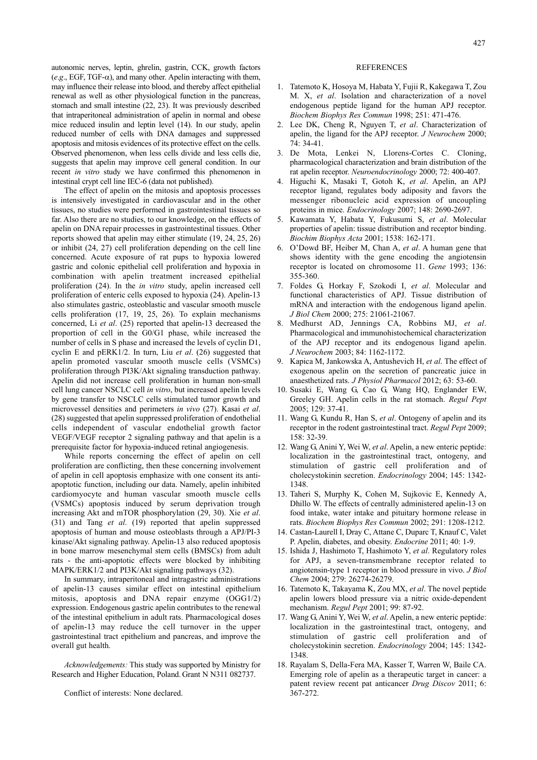autonomic nerves, leptin, ghrelin, gastrin, CCK, growth factors  $(e.g., EGF, TGF- $\alpha$ ), and many other. Apelin interacting with them,$ may influence their release into blood, and thereby affect epithelial renewal as well as other physiological function in the pancreas, stomach and small intestine (22, 23). It was previously described that intraperitoneal administration of apelin in normal and obese mice reduced insulin and leptin level (14). In our study, apelin reduced number of cells with DNA damages and suppressed apoptosis and mitosis evidences of its protective effect on the cells. Observed phenomenon, when less cells divide and less cells die, suggests that apelin may improve cell general condition. In our recent *in vitro* study we have confirmed this phenomenon in intestinal crypt cell line IEC-6 (data not published).

The effect of apelin on the mitosis and apoptosis processes is intensively investigated in cardiovascular and in the other tissues, no studies were performed in gastrointestinal tissues so far. Also there are no studies, to our knowledge, on the effects of apelin on DNA repair processes in gastrointestinal tissues. Other reports showed that apelin may either stimulate (19, 24, 25, 26) or inhibit (24, 27) cell proliferation depending on the cell line concerned. Acute exposure of rat pups to hypoxia lowered gastric and colonic epithelial cell proliferation and hypoxia in combination with apelin treatment increased epithelial proliferation (24). In the *in vitro* study, apelin increased cell proliferation of enteric cells exposed to hypoxia (24). Apelin-13 also stimulates gastric, osteoblastic and vascular smooth muscle cells proliferation (17, 19, 25, 26). To explain mechanisms concerned, Li *et al*. (25) reported that apelin-13 decreased the proportion of cell in the G0/G1 phase, while increased the number of cells in S phase and increased the levels of cyclin D1, cyclin E and pERK1/2. In turn, Liu *et al*. (26) suggested that apelin promoted vascular smooth muscle cells (VSMCs) proliferation through PI3K/Akt signaling transduction pathway. Apelin did not increase cell proliferation in human non-small cell lung cancer NSCLC cell *in vitro*, but increased apelin levels by gene transfer to NSCLC cells stimulated tumor growth and microvessel densities and perimeters *in vivo* (27). Kasai *et al*. (28) suggested that apelin suppressed proliferation of endothelial cells independent of vascular endothelial growth factor VEGF/VEGF receptor 2 signaling pathway and that apelin is a prerequisite factor for hypoxia-induced retinal angiogenesis.

While reports concerning the effect of apelin on cell proliferation are conflicting, then these concerning involvement of apelin in cell apoptosis emphasize with one consent its antiapoptotic function, including our data. Namely, apelin inhibited cardiomyocyte and human vascular smooth muscle cells (VSMCs) apoptosis induced by serum deprivation trough increasing Akt and mTOR phosphorylation (29, 30). Xie *et al*. (31) and Tang *et al*. (19) reported that apelin suppressed apoptosis of human and mouse osteoblasts through a APJ/PI-3 kinase/Akt signaling pathway. Apelin-13 also reduced apoptosis in bone marrow mesenchymal stem cells (BMSCs) from adult rats - the anti-apoptotic effects were blocked by inhibiting MAPK/ERK1/2 and PI3K/Akt signaling pathways (32).

In summary, intraperitoneal and intragastric administrations of apelin-13 causes similar effect on intestinal epithelium mitosis, apoptosis and DNA repair enzyme (OGG1/2) expression. Endogenous gastric apelin contributes to the renewal of the intestinal epithelium in adult rats. Pharmacological doses of apelin-13 may reduce the cell turnover in the upper gastrointestinal tract epithelium and pancreas, and improve the overall gut health.

*Acknowledgements:* This study was supported by Ministry for Research and Higher Education, Poland. Grant N N311 082737.

Conflict of interests: None declared.

### **REFERENCES**

- 1. Tatemoto K, Hosoya M, Habata Y, Fujii R, Kakegawa T, Zou M. X, *et al*. Isolation and characterization of a novel endogenous peptide ligand for the human APJ receptor. *Biochem Biophys Res Commun* 1998; 251: 471-476.
- 2. Lee DK, Cheng R, Nguyen T, *et al*. Characterization of apelin, the ligand for the APJ receptor. *J Neurochem* 2000; 74: 34-41.
- 3. De Mota, Lenkei N, Llorens-Cortes C. Cloning, pharmacological characterization and brain distribution of the rat apelin receptor. *Neuroendocrinology* 2000; 72: 400-407.
- 4. Higuchi K, Masaki T, Gotoh K, *et al*. Apelin, an APJ receptor ligand, regulates body adiposity and favors the messenger ribonucleic acid expression of uncoupling proteins in mice. *Endocrinology* 2007; 148: 2690-2697.
- 5. Kawamata Y, Habata Y, Fukusumi S, *et al*. Molecular properties of apelin: tissue distribution and receptor binding. *Biochim Biophys Acta* 2001; 1538: 162-171.
- 6. O'Dowd BF, Heiber M, Chan A, *et al*. A human gene that shows identity with the gene encoding the angiotensin receptor is located on chromosome 11. *Gene* 1993; 136: 355-360.
- 7. Foldes G, Horkay F, Szokodi I, *et al*. Molecular and functional characteristics of APJ. Tissue distribution of mRNA and interaction with the endogenous ligand apelin. *J Biol Chem* 2000; 275: 21061-21067.
- 8. Medhurst AD, Jennings CA, Robbins MJ, *et al*. Pharmacological and immunohistochemical characterization of the APJ receptor and its endogenous ligand apelin. *J Neurochem* 2003; 84: 1162-1172.
- 9. Kapica M, Jankowska A, Antushevich H, *et al*. The effect of exogenous apelin on the secretion of pancreatic juice in anaesthetized rats. *J Physiol Pharmacol* 2012; 63: 53-60.
- 10. Susaki E, Wang G, Cao G, Wang HQ, Englander EW, Greeley GH. Apelin cells in the rat stomach. *Regul Pept* 2005; 129: 37-41.
- 11. Wang G, Kundu R, Han S, *et al*. Ontogeny of apelin and its receptor in the rodent gastrointestinal tract. *Regul Pept* 2009; 158: 32-39.
- 12. Wang G, Anini Y, Wei W, *et al*. Apelin, a new enteric peptide: localization in the gastrointestinal tract, ontogeny, and stimulation of gastric cell proliferation and of cholecystokinin secretion. *Endocrinology* 2004; 145: 1342- 1348.
- 13. Taheri S, Murphy K, Cohen M, Sujkovic E, Kennedy A, Dhillo W. The effects of centrally administered apelin-13 on food intake, water intake and pituitary hormone release in rats. *Biochem Biophys Res Commun* 2002; 291: 1208-1212.
- 14. Castan-Laurell I, Dray C, Attane C, Duparc T, Knauf C, Valet P. Apelin, diabetes, and obesity. *Endocrine* 2011; 40: 1-9.
- 15. Ishida J, Hashimoto T, Hashimoto Y, *et al*. Regulatory roles for APJ, a seven-transmembrane receptor related to angiotensin-type 1 receptor in blood pressure in vivo. *J Biol Chem* 2004; 279: 26274-26279.
- 16. Tatemoto K, Takayama K, Zou MX, *et al*. The novel peptide apelin lowers blood pressure via a nitric oxide-dependent mechanism. *Regul Pept* 2001; 99: 87-92.
- 17. Wang G, Anini Y, Wei W, *et al*. Apelin, a new enteric peptide: localization in the gastrointestinal tract, ontogeny, and stimulation of gastric cell proliferation and of cholecystokinin secretion. *Endocrinology* 2004; 145: 1342- 1348.
- 18. Rayalam S, Della-Fera MA, Kasser T, Warren W, Baile CA. Emerging role of apelin as a therapeutic target in cancer: a patent review recent pat anticancer *Drug Discov* 2011; 6: 367-272.